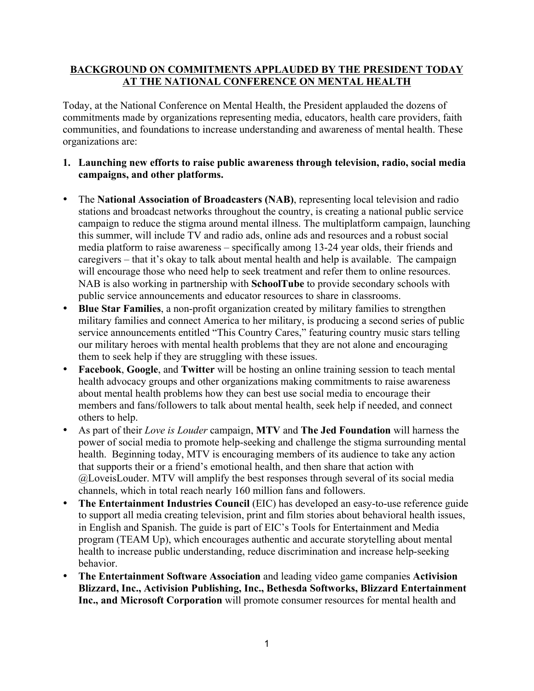# **BACKGROUND ON COMMITMENTS APPLAUDED BY THE PRESIDENT TODAY AT THE NATIONAL CONFERENCE ON MENTAL HEALTH**

Today, at the National Conference on Mental Health, the President applauded the dozens of commitments made by organizations representing media, educators, health care providers, faith communities, and foundations to increase understanding and awareness of mental health. These organizations are:

- **1. Launching new efforts to raise public awareness through television, radio, social media campaigns, and other platforms.**
- The **National Association of Broadcasters (NAB)**, representing local television and radio stations and broadcast networks throughout the country, is creating a national public service campaign to reduce the stigma around mental illness. The multiplatform campaign, launching this summer, will include TV and radio ads, online ads and resources and a robust social media platform to raise awareness – specifically among 13-24 year olds, their friends and caregivers – that it's okay to talk about mental health and help is available. The campaign will encourage those who need help to seek treatment and refer them to online resources. NAB is also working in partnership with **SchoolTube** to provide secondary schools with public service announcements and educator resources to share in classrooms.
- **Blue Star Families**, a non-profit organization created by military families to strengthen military families and connect America to her military, is producing a second series of public service announcements entitled "This Country Cares," featuring country music stars telling our military heroes with mental health problems that they are not alone and encouraging them to seek help if they are struggling with these issues.
- **Facebook**, **Google**, and **Twitter** will be hosting an online training session to teach mental health advocacy groups and other organizations making commitments to raise awareness about mental health problems how they can best use social media to encourage their members and fans/followers to talk about mental health, seek help if needed, and connect others to help.
- As part of their *Love is Louder* campaign, **MTV** and **The Jed Foundation** will harness the power of social media to promote help-seeking and challenge the stigma surrounding mental health. Beginning today, MTV is encouraging members of its audience to take any action that supports their or a friend's emotional health, and then share that action with @LoveisLouder. MTV will amplify the best responses through several of its social media channels, which in total reach nearly 160 million fans and followers.
- **The Entertainment Industries Council** (EIC) has developed an easy-to-use reference guide to support all media creating television, print and film stories about behavioral health issues, in English and Spanish. The guide is part of EIC's Tools for Entertainment and Media program (TEAM Up), which encourages authentic and accurate storytelling about mental health to increase public understanding, reduce discrimination and increase help-seeking behavior.
- **The Entertainment Software Association** and leading video game companies **Activision Blizzard, Inc., Activision Publishing, Inc., Bethesda Softworks, Blizzard Entertainment Inc., and Microsoft Corporation** will promote consumer resources for mental health and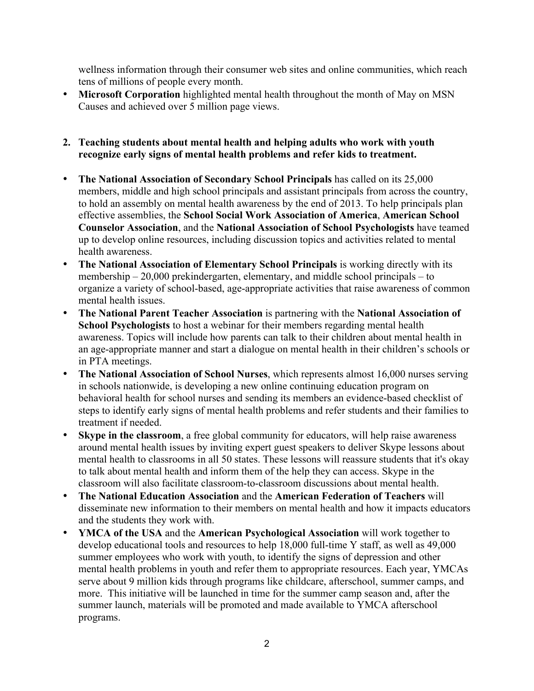wellness information through their consumer web sites and online communities, which reach tens of millions of people every month.

• **Microsoft Corporation** highlighted mental health throughout the month of May on MSN Causes and achieved over 5 million page views.

#### **2. Teaching students about mental health and helping adults who work with youth recognize early signs of mental health problems and refer kids to treatment.**

- **The National Association of Secondary School Principals** has called on its 25,000 members, middle and high school principals and assistant principals from across the country, to hold an assembly on mental health awareness by the end of 2013. To help principals plan effective assemblies, the **School Social Work Association of America**, **American School Counselor Association**, and the **National Association of School Psychologists** have teamed up to develop online resources, including discussion topics and activities related to mental health awareness.
- **The National Association of Elementary School Principals** is working directly with its membership – 20,000 prekindergarten, elementary, and middle school principals – to organize a variety of school-based, age-appropriate activities that raise awareness of common mental health issues.
- **The National Parent Teacher Association** is partnering with the **National Association of School Psychologists** to host a webinar for their members regarding mental health awareness. Topics will include how parents can talk to their children about mental health in an age-appropriate manner and start a dialogue on mental health in their children's schools or in PTA meetings.
- **The National Association of School Nurses**, which represents almost 16,000 nurses serving in schools nationwide, is developing a new online continuing education program on behavioral health for school nurses and sending its members an evidence-based checklist of steps to identify early signs of mental health problems and refer students and their families to treatment if needed.
- **Skype in the classroom**, a free global community for educators, will help raise awareness around mental health issues by inviting expert guest speakers to deliver Skype lessons about mental health to classrooms in all 50 states. These lessons will reassure students that it's okay to talk about mental health and inform them of the help they can access. Skype in the classroom will also facilitate classroom-to-classroom discussions about mental health.
- **The National Education Association** and the **American Federation of Teachers** will disseminate new information to their members on mental health and how it impacts educators and the students they work with.
- **YMCA of the USA** and the **American Psychological Association** will work together to develop educational tools and resources to help 18,000 full-time Y staff, as well as 49,000 summer employees who work with youth, to identify the signs of depression and other mental health problems in youth and refer them to appropriate resources. Each year, YMCAs serve about 9 million kids through programs like childcare, afterschool, summer camps, and more. This initiative will be launched in time for the summer camp season and, after the summer launch, materials will be promoted and made available to YMCA afterschool programs.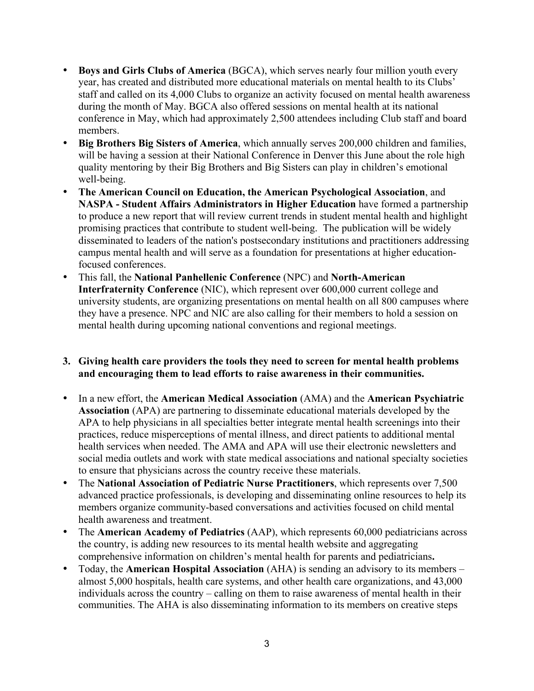- **Boys and Girls Clubs of America** (BGCA), which serves nearly four million youth every year, has created and distributed more educational materials on mental health to its Clubs' staff and called on its 4,000 Clubs to organize an activity focused on mental health awareness during the month of May. BGCA also offered sessions on mental health at its national conference in May, which had approximately 2,500 attendees including Club staff and board members.
- **Big Brothers Big Sisters of America**, which annually serves 200,000 children and families, will be having a session at their National Conference in Denver this June about the role high quality mentoring by their Big Brothers and Big Sisters can play in children's emotional well-being.
- **The American Council on Education, the American Psychological Association**, and **NASPA - Student Affairs Administrators in Higher Education** have formed a partnership to produce a new report that will review current trends in student mental health and highlight promising practices that contribute to student well-being. The publication will be widely disseminated to leaders of the nation's postsecondary institutions and practitioners addressing campus mental health and will serve as a foundation for presentations at higher educationfocused conferences.
- This fall, the **National Panhellenic Conference** (NPC) and **North-American Interfraternity Conference** (NIC), which represent over 600,000 current college and university students, are organizing presentations on mental health on all 800 campuses where they have a presence. NPC and NIC are also calling for their members to hold a session on mental health during upcoming national conventions and regional meetings.

## **3. Giving health care providers the tools they need to screen for mental health problems and encouraging them to lead efforts to raise awareness in their communities.**

- In a new effort, the **American Medical Association** (AMA) and the **American Psychiatric Association** (APA) are partnering to disseminate educational materials developed by the APA to help physicians in all specialties better integrate mental health screenings into their practices, reduce misperceptions of mental illness, and direct patients to additional mental health services when needed. The AMA and APA will use their electronic newsletters and social media outlets and work with state medical associations and national specialty societies to ensure that physicians across the country receive these materials.
- The **National Association of Pediatric Nurse Practitioners**, which represents over 7,500 advanced practice professionals, is developing and disseminating online resources to help its members organize community-based conversations and activities focused on child mental health awareness and treatment.
- The **American Academy of Pediatrics** (AAP), which represents 60,000 pediatricians across the country, is adding new resources to its mental health website and aggregating comprehensive information on children's mental health for parents and pediatricians**.**
- Today, the **American Hospital Association** (AHA) is sending an advisory to its members almost 5,000 hospitals, health care systems, and other health care organizations, and 43,000 individuals across the country – calling on them to raise awareness of mental health in their communities. The AHA is also disseminating information to its members on creative steps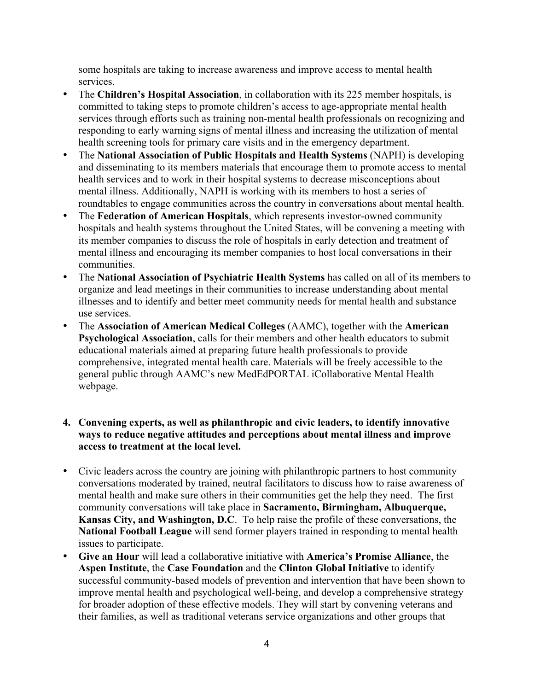some hospitals are taking to increase awareness and improve access to mental health services.

- The **Children's Hospital Association**, in collaboration with its 225 member hospitals, is committed to taking steps to promote children's access to age-appropriate mental health services through efforts such as training non-mental health professionals on recognizing and responding to early warning signs of mental illness and increasing the utilization of mental health screening tools for primary care visits and in the emergency department.
- The **National Association of Public Hospitals and Health Systems** (NAPH) is developing and disseminating to its members materials that encourage them to promote access to mental health services and to work in their hospital systems to decrease misconceptions about mental illness. Additionally, NAPH is working with its members to host a series of roundtables to engage communities across the country in conversations about mental health.
- The **Federation of American Hospitals**, which represents investor-owned community hospitals and health systems throughout the United States, will be convening a meeting with its member companies to discuss the role of hospitals in early detection and treatment of mental illness and encouraging its member companies to host local conversations in their communities.
- The **National Association of Psychiatric Health Systems** has called on all of its members to organize and lead meetings in their communities to increase understanding about mental illnesses and to identify and better meet community needs for mental health and substance use services.
- The **Association of American Medical Colleges** (AAMC), together with the **American Psychological Association**, calls for their members and other health educators to submit educational materials aimed at preparing future health professionals to provide comprehensive, integrated mental health care. Materials will be freely accessible to the general public through AAMC's new MedEdPORTAL iCollaborative Mental Health webpage.
- **4. Convening experts, as well as philanthropic and civic leaders, to identify innovative ways to reduce negative attitudes and perceptions about mental illness and improve access to treatment at the local level.**
- Civic leaders across the country are joining with philanthropic partners to host community conversations moderated by trained, neutral facilitators to discuss how to raise awareness of mental health and make sure others in their communities get the help they need. The first community conversations will take place in **Sacramento, Birmingham, Albuquerque, Kansas City, and Washington, D.C**. To help raise the profile of these conversations, the **National Football League** will send former players trained in responding to mental health issues to participate.
- **Give an Hour** will lead a collaborative initiative with **America's Promise Alliance**, the **Aspen Institute**, the **Case Foundation** and the **Clinton Global Initiative** to identify successful community-based models of prevention and intervention that have been shown to improve mental health and psychological well-being, and develop a comprehensive strategy for broader adoption of these effective models. They will start by convening veterans and their families, as well as traditional veterans service organizations and other groups that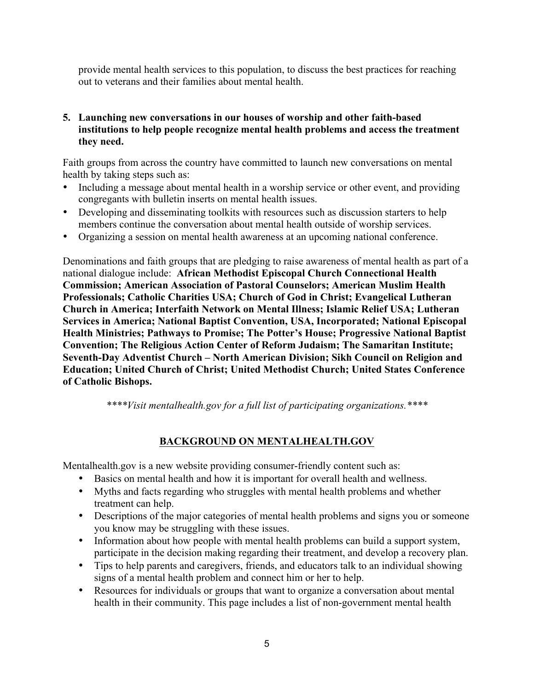provide mental health services to this population, to discuss the best practices for reaching out to veterans and their families about mental health.

#### **5. Launching new conversations in our houses of worship and other faith-based institutions to help people recognize mental health problems and access the treatment they need.**

Faith groups from across the country have committed to launch new conversations on mental health by taking steps such as:

- Including a message about mental health in a worship service or other event, and providing congregants with bulletin inserts on mental health issues.
- Developing and disseminating toolkits with resources such as discussion starters to help members continue the conversation about mental health outside of worship services.
- Organizing a session on mental health awareness at an upcoming national conference.

Denominations and faith groups that are pledging to raise awareness of mental health as part of a national dialogue include: **African Methodist Episcopal Church Connectional Health Commission; American Association of Pastoral Counselors; American Muslim Health Professionals; Catholic Charities USA; Church of God in Christ; Evangelical Lutheran Church in America; Interfaith Network on Mental Illness; Islamic Relief USA; Lutheran Services in America; National Baptist Convention, USA, Incorporated; National Episcopal Health Ministries; Pathways to Promise; The Potter's House; Progressive National Baptist Convention; The Religious Action Center of Reform Judaism; The Samaritan Institute; Seventh-Day Adventist Church – North American Division; Sikh Council on Religion and Education; United Church of Christ; United Methodist Church; United States Conference of Catholic Bishops.**

*\*\*\*\*Visit mentalhealth.gov for a full list of participating organizations.\*\*\*\**

## **BACKGROUND ON MENTALHEALTH.GOV**

Mentalhealth.gov is a new website providing consumer-friendly content such as:

- Basics on mental health and how it is important for overall health and wellness.
- Myths and facts regarding who struggles with mental health problems and whether treatment can help.
- Descriptions of the major categories of mental health problems and signs you or someone you know may be struggling with these issues.
- Information about how people with mental health problems can build a support system, participate in the decision making regarding their treatment, and develop a recovery plan.
- Tips to help parents and caregivers, friends, and educators talk to an individual showing signs of a mental health problem and connect him or her to help.
- Resources for individuals or groups that want to organize a conversation about mental health in their community. This page includes a list of non-government mental health